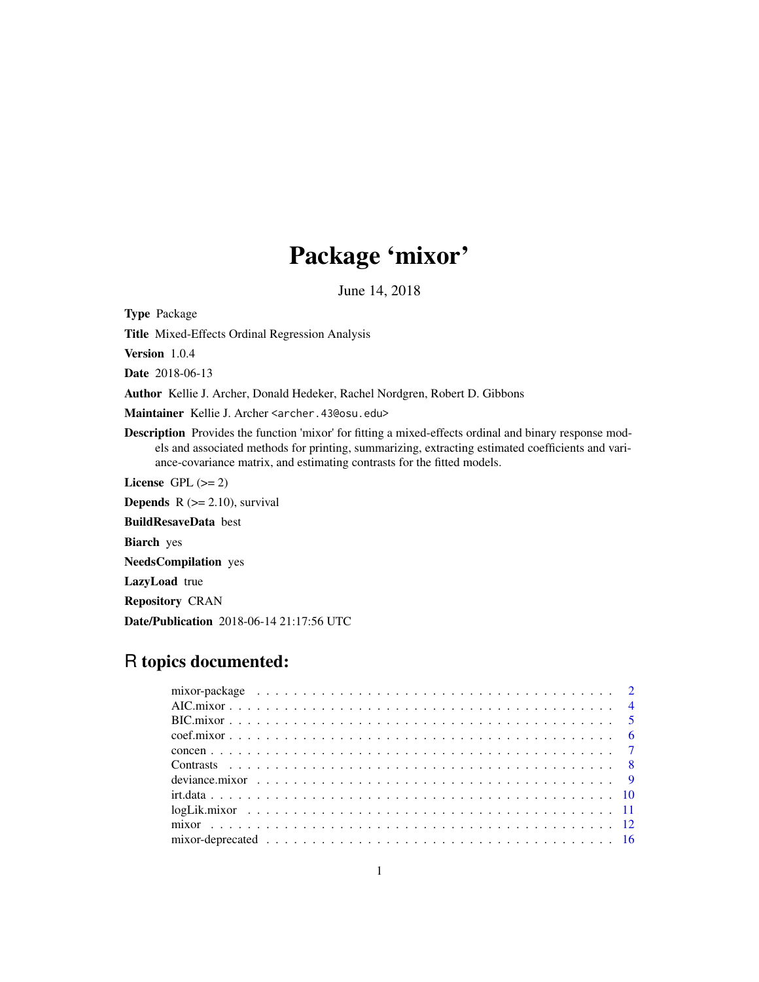# Package 'mixor'

June 14, 2018

<span id="page-0-0"></span>Type Package

Title Mixed-Effects Ordinal Regression Analysis

Version 1.0.4

Date 2018-06-13

Author Kellie J. Archer, Donald Hedeker, Rachel Nordgren, Robert D. Gibbons

Maintainer Kellie J. Archer <archer.43@osu.edu>

Description Provides the function 'mixor' for fitting a mixed-effects ordinal and binary response models and associated methods for printing, summarizing, extracting estimated coefficients and variance-covariance matrix, and estimating contrasts for the fitted models.

License GPL  $(>= 2)$ 

**Depends**  $R$  ( $>= 2.10$ ), survival

BuildResaveData best

Biarch yes

NeedsCompilation yes

LazyLoad true

Repository CRAN

Date/Publication 2018-06-14 21:17:56 UTC

# R topics documented: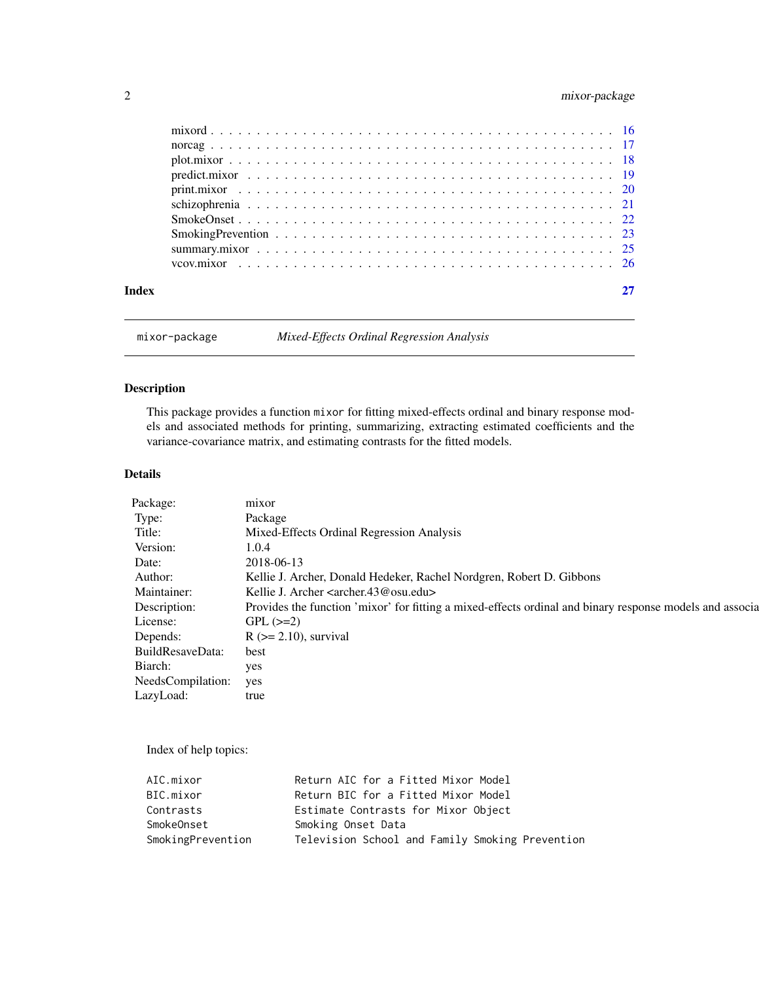# <span id="page-1-0"></span>2 mixor-package

| Index |  |
|-------|--|
|       |  |
|       |  |
|       |  |
|       |  |
|       |  |
|       |  |
|       |  |
|       |  |
|       |  |
|       |  |

mixor-package *Mixed-Effects Ordinal Regression Analysis*

# Description

This package provides a function mixor for fitting mixed-effects ordinal and binary response models and associated methods for printing, summarizing, extracting estimated coefficients and the variance-covariance matrix, and estimating contrasts for the fitted models.

# Details

| Package:              | mixor                                                                                                    |
|-----------------------|----------------------------------------------------------------------------------------------------------|
| Type:                 | Package                                                                                                  |
| Title:                | Mixed-Effects Ordinal Regression Analysis                                                                |
| Version:              | 1.0.4                                                                                                    |
| Date:                 | 2018-06-13                                                                                               |
| Author:               | Kellie J. Archer, Donald Hedeker, Rachel Nordgren, Robert D. Gibbons                                     |
| Maintainer:           | Kellie J. Archer <archer.43@osu.edu></archer.43@osu.edu>                                                 |
| Description:          | Provides the function 'mixor' for fitting a mixed-effects ordinal and binary response models and associa |
| License:              | $GPL$ ( $>=2$ )                                                                                          |
| Depends:              | $R$ ( $>= 2.10$ ), survival                                                                              |
| BuildResaveData:      | best                                                                                                     |
| Biarch:               | yes                                                                                                      |
| NeedsCompilation: yes |                                                                                                          |
| LazyLoad:             | true                                                                                                     |
|                       |                                                                                                          |

Index of help topics:

| AIC.mixor         | Return AIC for a Fitted Mixor Model             |
|-------------------|-------------------------------------------------|
| BIC.mixor         | Return BIC for a Fitted Mixor Model             |
| Contrasts         | Estimate Contrasts for Mixor Object             |
| SmokeOnset        | Smoking Onset Data                              |
| SmokingPrevention | Television School and Family Smoking Prevention |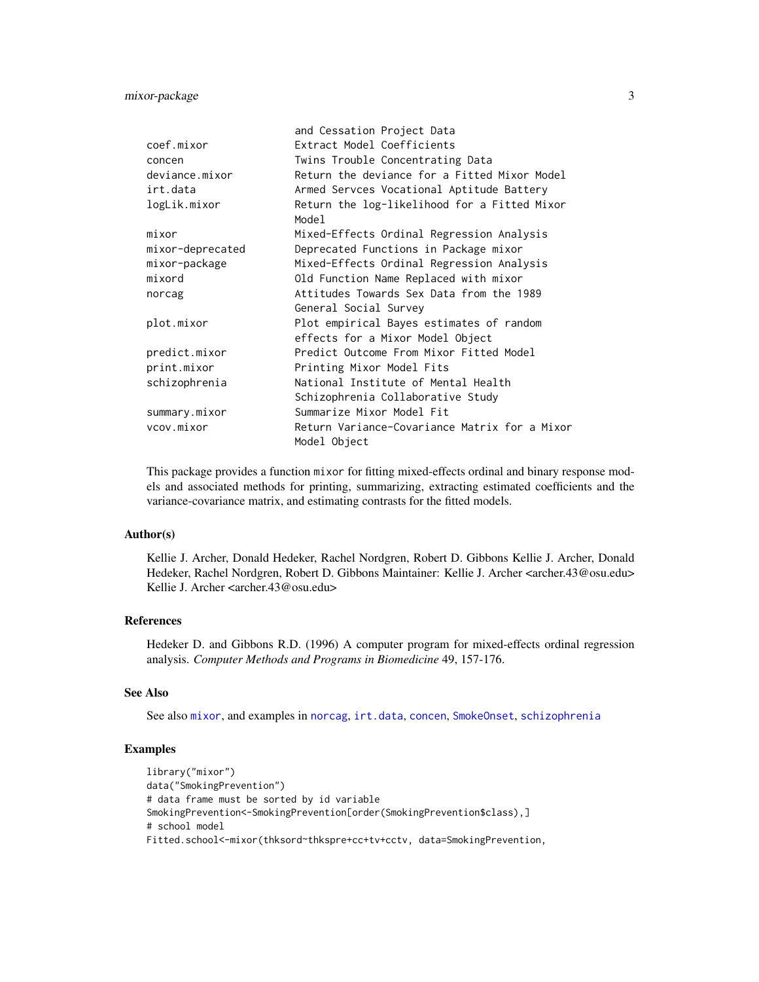# <span id="page-2-0"></span>mixor-package 3

|                  | and Cessation Project Data                            |
|------------------|-------------------------------------------------------|
| coef.mixor       | Extract Model Coefficients                            |
| concen           | Twins Trouble Concentrating Data                      |
| deviance.mixor   | Return the deviance for a Fitted Mixor Model          |
| irt.data         | Armed Servces Vocational Aptitude Battery             |
| logLik.mixor     | Return the log-likelihood for a Fitted Mixor<br>Model |
| mixor            | Mixed-Effects Ordinal Regression Analysis             |
| mixor-deprecated | Deprecated Functions in Package mixor                 |
| mixor-package    | Mixed-Effects Ordinal Regression Analysis             |
| mixord           | Old Function Name Replaced with mixor                 |
| norcag           | Attitudes Towards Sex Data from the 1989              |
|                  | General Social Survey                                 |
| plot.mixor       | Plot empirical Bayes estimates of random              |
|                  | effects for a Mixor Model Object                      |
| predict.mixor    | Predict Outcome From Mixor Fitted Model               |
| print.mixor      | Printing Mixor Model Fits                             |
| schizophrenia    | National Institute of Mental Health                   |
|                  | Schizophrenia Collaborative Study                     |
| summary.mixor    | Summarize Mixor Model Fit                             |
| vcov.mixor       | Return Variance-Covariance Matrix for a Mixor         |
|                  | Model Object                                          |

This package provides a function mixor for fitting mixed-effects ordinal and binary response models and associated methods for printing, summarizing, extracting estimated coefficients and the variance-covariance matrix, and estimating contrasts for the fitted models.

# Author(s)

Kellie J. Archer, Donald Hedeker, Rachel Nordgren, Robert D. Gibbons Kellie J. Archer, Donald Hedeker, Rachel Nordgren, Robert D. Gibbons Maintainer: Kellie J. Archer <archer.43@osu.edu> Kellie J. Archer <archer.43@osu.edu>

# References

Hedeker D. and Gibbons R.D. (1996) A computer program for mixed-effects ordinal regression analysis. *Computer Methods and Programs in Biomedicine* 49, 157-176.

# See Also

See also [mixor](#page-11-1), and examples in [norcag](#page-16-1), [irt.data](#page-9-1), [concen](#page-6-1), [SmokeOnset](#page-21-1), [schizophrenia](#page-20-1)

```
library("mixor")
data("SmokingPrevention")
# data frame must be sorted by id variable
SmokingPrevention<-SmokingPrevention[order(SmokingPrevention$class),]
# school model
Fitted.school<-mixor(thksord~thkspre+cc+tv+cctv, data=SmokingPrevention,
```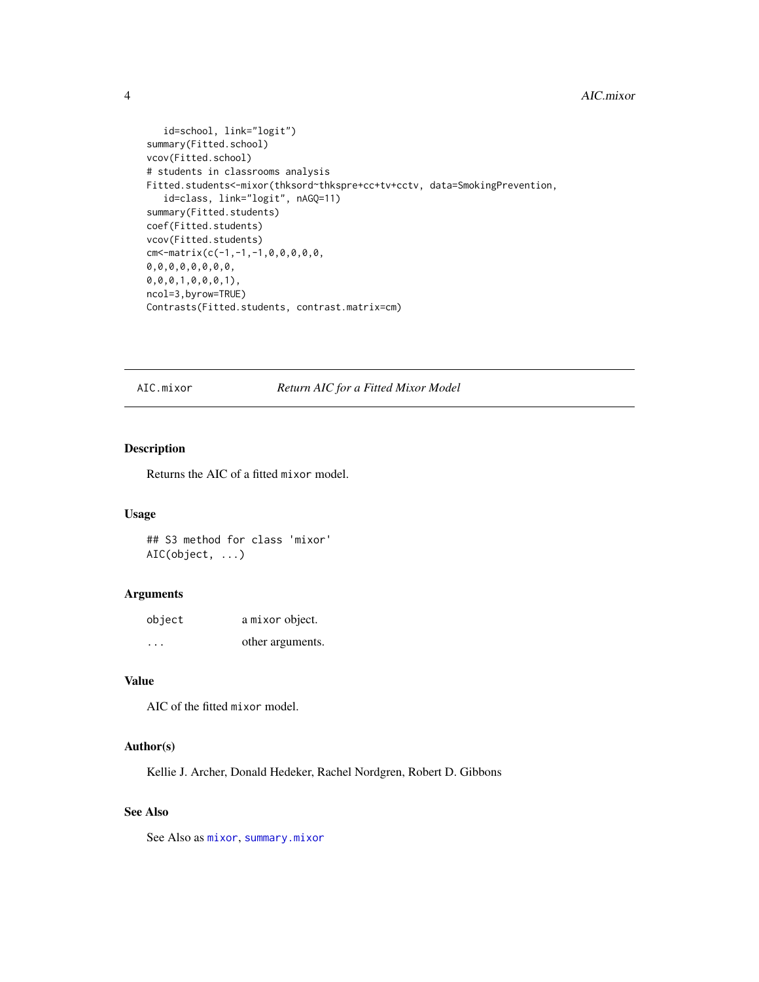#### <span id="page-3-0"></span>4 AIC.mixor

```
id=school, link="logit")
summary(Fitted.school)
vcov(Fitted.school)
# students in classrooms analysis
Fitted.students<-mixor(thksord~thkspre+cc+tv+cctv, data=SmokingPrevention,
   id=class, link="logit", nAGQ=11)
summary(Fitted.students)
coef(Fitted.students)
vcov(Fitted.students)
cm < -matrix(c(-1,-1,-1,0,0,0,0,0,0,0,0,0,0,0,0,0,0,
0,0,0,1,0,0,0,1),
ncol=3,byrow=TRUE)
Contrasts(Fitted.students, contrast.matrix=cm)
```
AIC.mixor *Return AIC for a Fitted Mixor Model*

# Description

Returns the AIC of a fitted mixor model.

#### Usage

## S3 method for class 'mixor' AIC(object, ...)

# Arguments

| object   | a mixor object.  |
|----------|------------------|
| $\cdots$ | other arguments. |

# Value

AIC of the fitted mixor model.

#### Author(s)

Kellie J. Archer, Donald Hedeker, Rachel Nordgren, Robert D. Gibbons

# See Also

See Also as [mixor](#page-11-1), [summary.mixor](#page-24-1)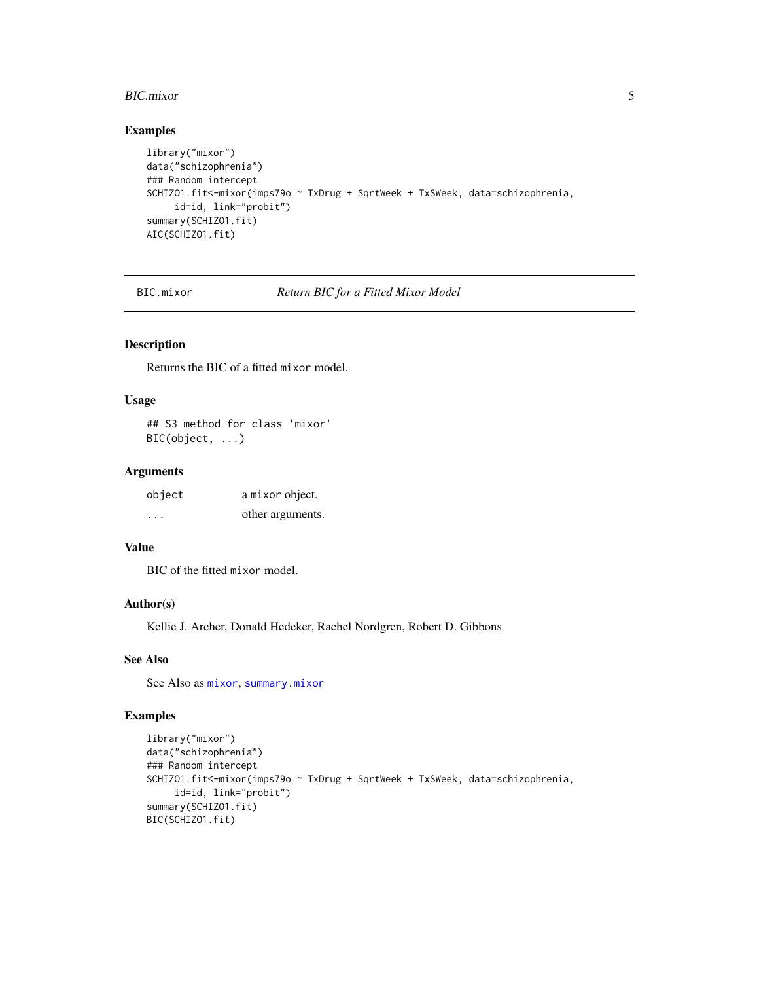#### <span id="page-4-0"></span>BIC.mixor 5

# Examples

```
library("mixor")
data("schizophrenia")
### Random intercept
SCHIZO1.fit<-mixor(imps79o ~ TxDrug + SqrtWeek + TxSWeek, data=schizophrenia,
    id=id, link="probit")
summary(SCHIZO1.fit)
AIC(SCHIZO1.fit)
```
BIC.mixor *Return BIC for a Fitted Mixor Model*

# Description

Returns the BIC of a fitted mixor model.

#### Usage

## S3 method for class 'mixor' BIC(object, ...)

# Arguments

| object  | a mixor object.  |
|---------|------------------|
| $\cdot$ | other arguments. |

# Value

BIC of the fitted mixor model.

# Author(s)

Kellie J. Archer, Donald Hedeker, Rachel Nordgren, Robert D. Gibbons

# See Also

See Also as [mixor](#page-11-1), [summary.mixor](#page-24-1)

```
library("mixor")
data("schizophrenia")
### Random intercept
SCHIZO1.fit<-mixor(imps79o ~ TxDrug + SqrtWeek + TxSWeek, data=schizophrenia,
     id=id, link="probit")
summary(SCHIZO1.fit)
BIC(SCHIZO1.fit)
```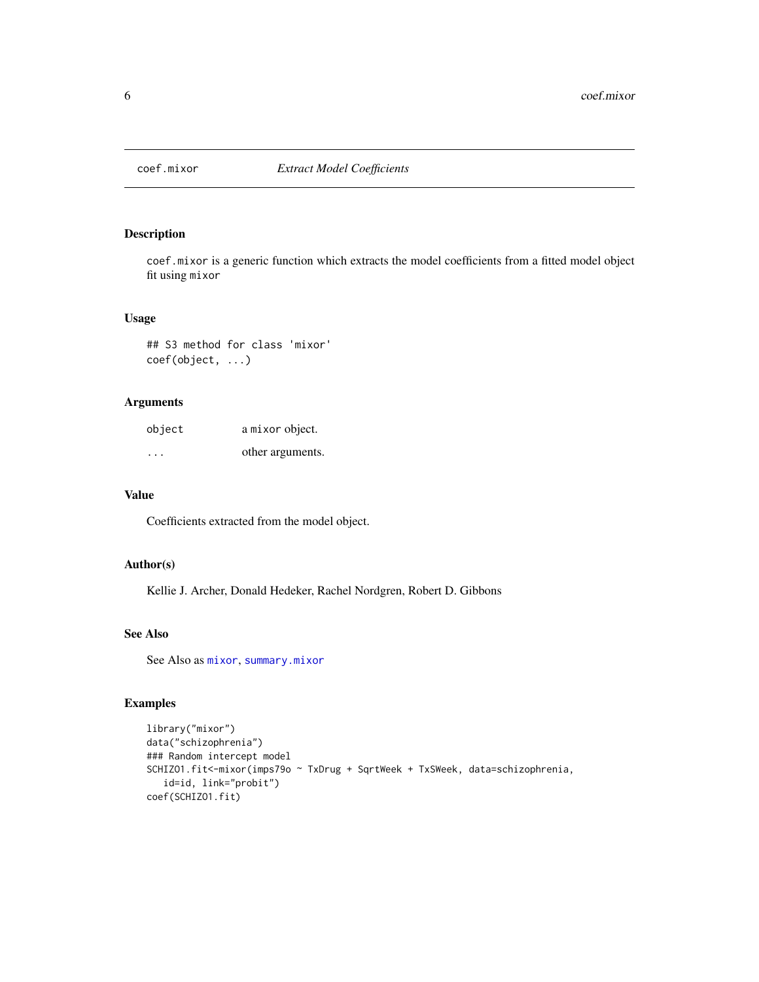<span id="page-5-1"></span><span id="page-5-0"></span>

coef.mixor is a generic function which extracts the model coefficients from a fitted model object fit using mixor

#### Usage

## S3 method for class 'mixor' coef(object, ...)

# Arguments

| object  | a mixor object.  |
|---------|------------------|
| $\cdot$ | other arguments. |

# Value

Coefficients extracted from the model object.

# Author(s)

Kellie J. Archer, Donald Hedeker, Rachel Nordgren, Robert D. Gibbons

# See Also

See Also as [mixor](#page-11-1), [summary.mixor](#page-24-1)

```
library("mixor")
data("schizophrenia")
### Random intercept model
SCHIZO1.fit<-mixor(imps79o ~ TxDrug + SqrtWeek + TxSWeek, data=schizophrenia,
   id=id, link="probit")
coef(SCHIZO1.fit)
```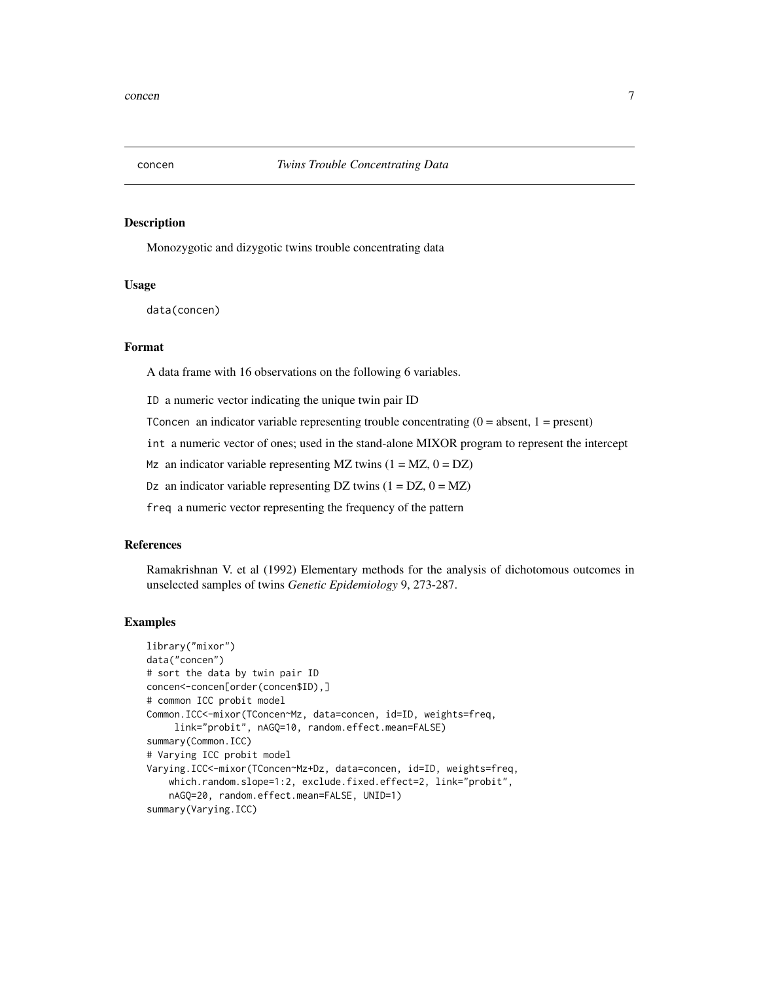<span id="page-6-1"></span><span id="page-6-0"></span>

Monozygotic and dizygotic twins trouble concentrating data

### Usage

data(concen)

# Format

A data frame with 16 observations on the following 6 variables.

ID a numeric vector indicating the unique twin pair ID

TConcen an indicator variable representing trouble concentrating  $(0 = absent, 1 = present)$ 

int a numeric vector of ones; used in the stand-alone MIXOR program to represent the intercept

Mz an indicator variable representing MZ twins  $(1 = MZ, 0 = DZ)$ 

Dz an indicator variable representing DZ twins  $(1 = DZ, 0 = MZ)$ 

freq a numeric vector representing the frequency of the pattern

#### References

Ramakrishnan V. et al (1992) Elementary methods for the analysis of dichotomous outcomes in unselected samples of twins *Genetic Epidemiology* 9, 273-287.

```
library("mixor")
data("concen")
# sort the data by twin pair ID
concen<-concen[order(concen$ID),]
# common ICC probit model
Common.ICC<-mixor(TConcen~Mz, data=concen, id=ID, weights=freq,
     link="probit", nAGQ=10, random.effect.mean=FALSE)
summary(Common.ICC)
# Varying ICC probit model
Varying.ICC<-mixor(TConcen~Mz+Dz, data=concen, id=ID, weights=freq,
   which.random.slope=1:2, exclude.fixed.effect=2, link="probit",
   nAGQ=20, random.effect.mean=FALSE, UNID=1)
summary(Varying.ICC)
```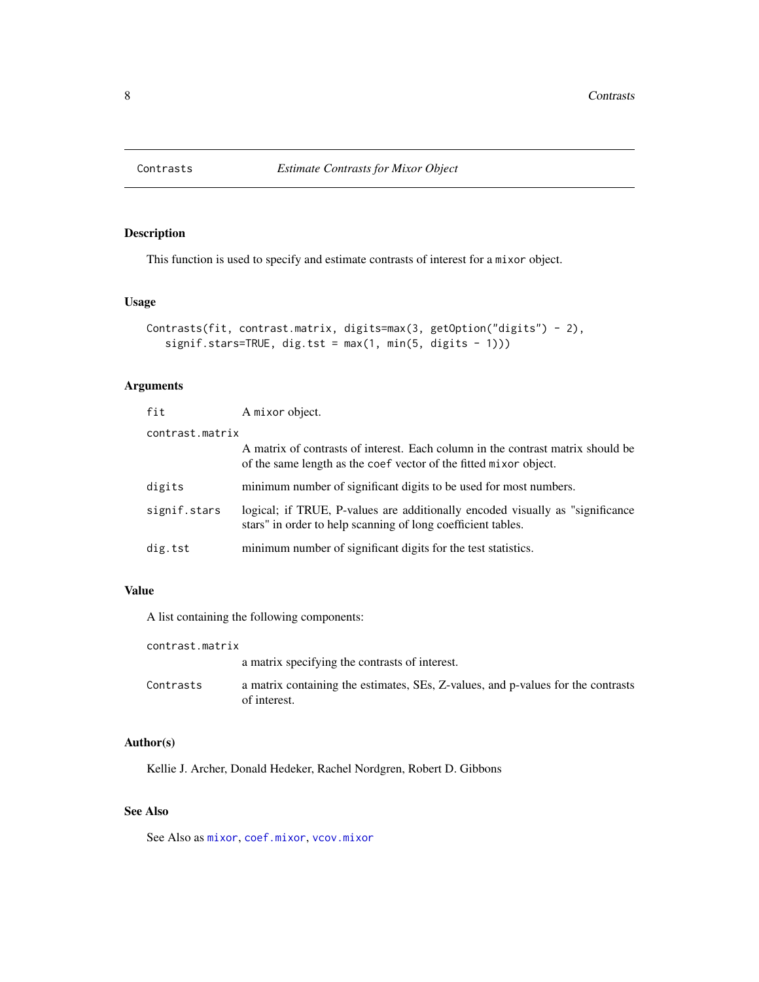<span id="page-7-0"></span>

This function is used to specify and estimate contrasts of interest for a mixor object.

# Usage

```
Contrasts(fit, contrast.matrix, digits=max(3, getOption("digits") - 2),
   signif.stars=TRUE, dig.tst = max(1, min(5, digits - 1)))
```
# Arguments

| fit             | A mixor object.                                                                                                                                      |  |
|-----------------|------------------------------------------------------------------------------------------------------------------------------------------------------|--|
| contrast.matrix |                                                                                                                                                      |  |
|                 | A matrix of contrasts of interest. Each column in the contrast matrix should be<br>of the same length as the coef vector of the fitted mixor object. |  |
| digits          | minimum number of significant digits to be used for most numbers.                                                                                    |  |
| signif.stars    | logical; if TRUE, P-values are additionally encoded visually as "significance"<br>stars" in order to help scanning of long coefficient tables.       |  |
| dig.tst         | minimum number of significant digits for the test statistics.                                                                                        |  |

# Value

A list containing the following components:

| contrast.matrix |                                                                                                  |
|-----------------|--------------------------------------------------------------------------------------------------|
|                 | a matrix specifying the contrasts of interest.                                                   |
| Contrasts       | a matrix containing the estimates, SEs, Z-values, and p-values for the contrasts<br>of interest. |

# Author(s)

Kellie J. Archer, Donald Hedeker, Rachel Nordgren, Robert D. Gibbons

# See Also

See Also as [mixor](#page-11-1), [coef.mixor](#page-5-1), [vcov.mixor](#page-25-1)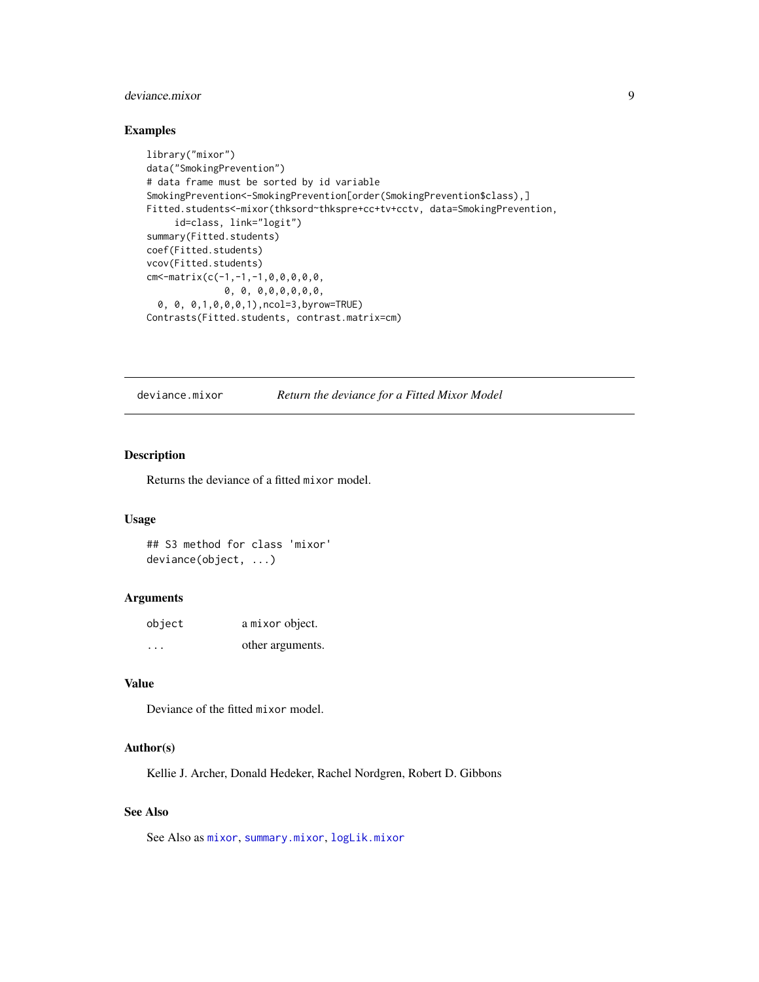# <span id="page-8-0"></span>deviance.mixor 9

# Examples

```
library("mixor")
data("SmokingPrevention")
# data frame must be sorted by id variable
SmokingPrevention<-SmokingPrevention[order(SmokingPrevention$class),]
Fitted.students<-mixor(thksord~thkspre+cc+tv+cctv, data=SmokingPrevention,
     id=class, link="logit")
summary(Fitted.students)
coef(Fitted.students)
vcov(Fitted.students)
cm<-matrix(c(-1,-1,-1,0,0,0,0,0,
              0, 0, 0,0,0,0,0,0,
  0, 0, 0,1,0,0,0,1),ncol=3,byrow=TRUE)
Contrasts(Fitted.students, contrast.matrix=cm)
```
<span id="page-8-1"></span>

deviance.mixor *Return the deviance for a Fitted Mixor Model*

### Description

Returns the deviance of a fitted mixor model.

#### Usage

## S3 method for class 'mixor' deviance(object, ...)

#### Arguments

| object   | a mixor object.  |
|----------|------------------|
| $\cdots$ | other arguments. |

#### Value

Deviance of the fitted mixor model.

#### Author(s)

Kellie J. Archer, Donald Hedeker, Rachel Nordgren, Robert D. Gibbons

# See Also

See Also as [mixor](#page-11-1), [summary.mixor](#page-24-1), [logLik.mixor](#page-10-1)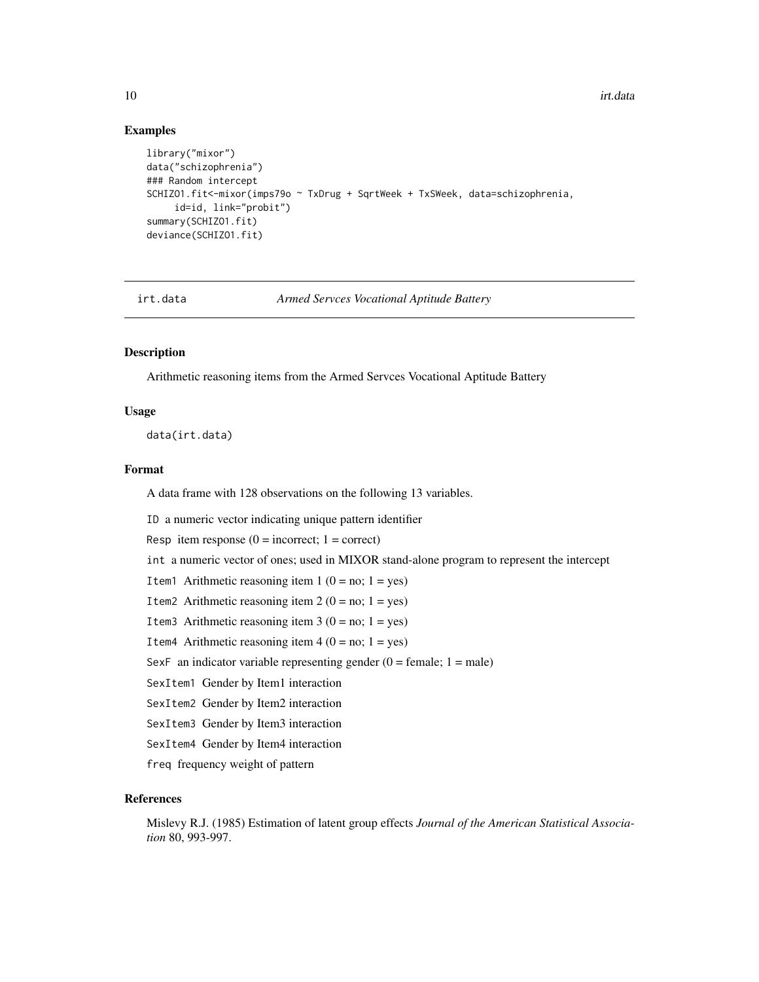#### Examples

```
library("mixor")
data("schizophrenia")
### Random intercept
SCHIZO1.fit<-mixor(imps79o ~ TxDrug + SqrtWeek + TxSWeek, data=schizophrenia,
     id=id, link="probit")
summary(SCHIZO1.fit)
deviance(SCHIZO1.fit)
```
<span id="page-9-1"></span>

irt.data *Armed Servces Vocational Aptitude Battery*

#### Description

Arithmetic reasoning items from the Armed Servces Vocational Aptitude Battery

#### Usage

data(irt.data)

# Format

A data frame with 128 observations on the following 13 variables.

ID a numeric vector indicating unique pattern identifier

Resp item response  $(0 = incorrect; 1 = correct)$ 

int a numeric vector of ones; used in MIXOR stand-alone program to represent the intercept

Item1 Arithmetic reasoning item  $1 (0 = no; 1 = yes)$ 

Item2 Arithmetic reasoning item  $2 (0 = no; 1 = yes)$ 

Item3 Arithmetic reasoning item  $3(0 = no; 1 = yes)$ 

Item4 Arithmetic reasoning item  $4 (0 = no; 1 = yes)$ 

SexF an indicator variable representing gender  $(0 =$  female;  $1 =$  male)

SexItem1 Gender by Item1 interaction

SexItem2 Gender by Item2 interaction

SexItem3 Gender by Item3 interaction

SexItem4 Gender by Item4 interaction

freq frequency weight of pattern

# References

Mislevy R.J. (1985) Estimation of latent group effects *Journal of the American Statistical Association* 80, 993-997.

<span id="page-9-0"></span>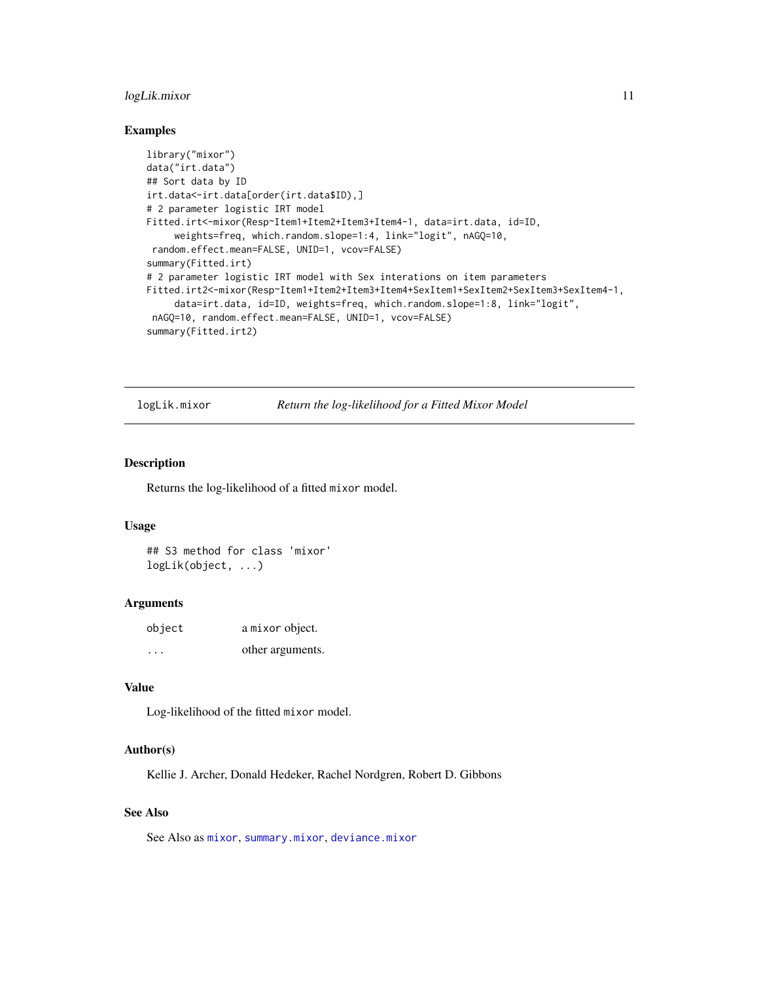# <span id="page-10-0"></span>logLik.mixor 11

#### Examples

```
library("mixor")
data("irt.data")
## Sort data by ID
irt.data<-irt.data[order(irt.data$ID),]
# 2 parameter logistic IRT model
Fitted.irt<-mixor(Resp~Item1+Item2+Item3+Item4-1, data=irt.data, id=ID,
     weights=freq, which.random.slope=1:4, link="logit", nAGQ=10,
 random.effect.mean=FALSE, UNID=1, vcov=FALSE)
summary(Fitted.irt)
# 2 parameter logistic IRT model with Sex interations on item parameters
Fitted.irt2<-mixor(Resp~Item1+Item2+Item3+Item4+SexItem1+SexItem2+SexItem3+SexItem4-1,
     data=irt.data, id=ID, weights=freq, which.random.slope=1:8, link="logit",
 nAGQ=10, random.effect.mean=FALSE, UNID=1, vcov=FALSE)
summary(Fitted.irt2)
```
<span id="page-10-1"></span>logLik.mixor *Return the log-likelihood for a Fitted Mixor Model*

### Description

Returns the log-likelihood of a fitted mixor model.

#### Usage

## S3 method for class 'mixor' logLik(object, ...)

#### Arguments

| object  | a mixor object.  |
|---------|------------------|
| $\cdot$ | other arguments. |

#### Value

Log-likelihood of the fitted mixor model.

# Author(s)

Kellie J. Archer, Donald Hedeker, Rachel Nordgren, Robert D. Gibbons

# See Also

See Also as [mixor](#page-11-1), [summary.mixor](#page-24-1), [deviance.mixor](#page-8-1)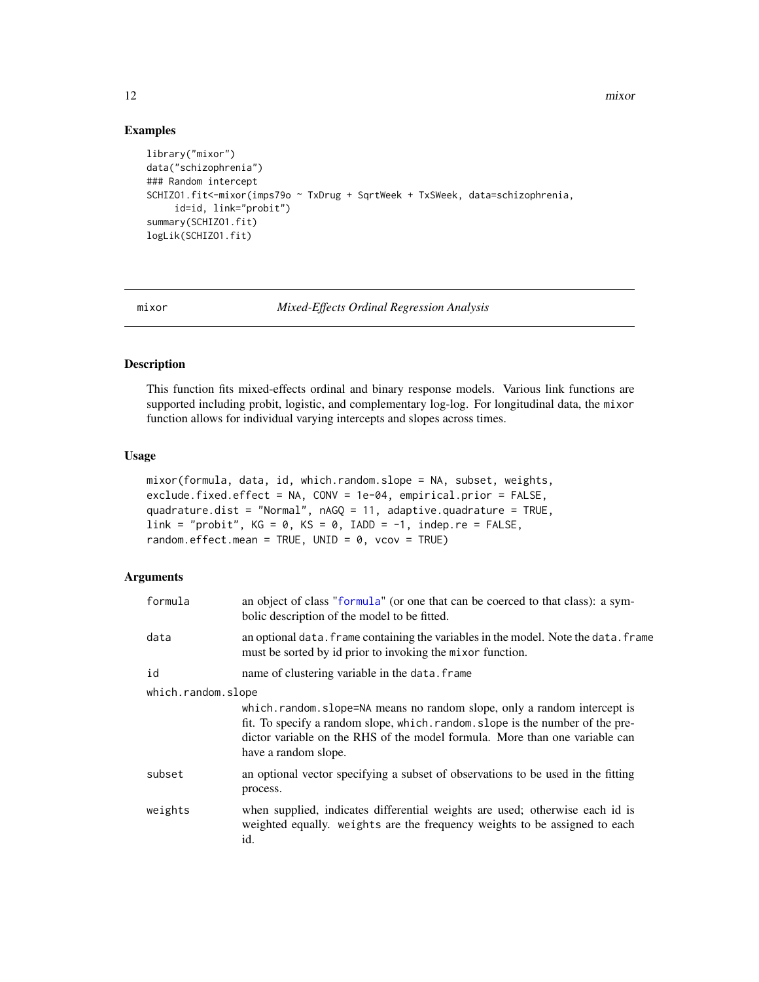12 mixor

#### Examples

```
library("mixor")
data("schizophrenia")
### Random intercept
SCHIZO1.fit<-mixor(imps79o ~ TxDrug + SqrtWeek + TxSWeek, data=schizophrenia,
     id=id, link="probit")
summary(SCHIZO1.fit)
logLik(SCHIZO1.fit)
```
<span id="page-11-1"></span>

mixor *Mixed-Effects Ordinal Regression Analysis*

#### Description

This function fits mixed-effects ordinal and binary response models. Various link functions are supported including probit, logistic, and complementary log-log. For longitudinal data, the mixor function allows for individual varying intercepts and slopes across times.

# Usage

```
mixor(formula, data, id, which.random.slope = NA, subset, weights,
exclude.fixed.effect = NA, CONV = 1e-04, empirical.prior = FALSE,
quadrature.dist = "Normal", nAGQ = 11, adaptive.quadrature = TRUE,
link = "probit", KG = 0, KS = 0, IADD = -1, indep.re = FALSE,
random.effect.mean = TRUE, UNID = 0, vcov = TRUE)
```
# Arguments

| formula            | an object of class "formula" (or one that can be coerced to that class): a sym-<br>bolic description of the model to be fitted.                                                                                                                                |  |
|--------------------|----------------------------------------------------------------------------------------------------------------------------------------------------------------------------------------------------------------------------------------------------------------|--|
| data               | an optional data. frame containing the variables in the model. Note the data. frame<br>must be sorted by id prior to invoking the mixor function.                                                                                                              |  |
| id                 | name of clustering variable in the data. frame                                                                                                                                                                                                                 |  |
| which.random.slope | which.random.slope=NA means no random slope, only a random intercept is<br>fit. To specify a random slope, which random slope is the number of the pre-<br>dictor variable on the RHS of the model formula. More than one variable can<br>have a random slope. |  |
| subset             | an optional vector specifying a subset of observations to be used in the fitting<br>process.                                                                                                                                                                   |  |
| weights            | when supplied, indicates differential weights are used; otherwise each id is<br>weighted equally. weights are the frequency weights to be assigned to each<br>id.                                                                                              |  |

<span id="page-11-0"></span>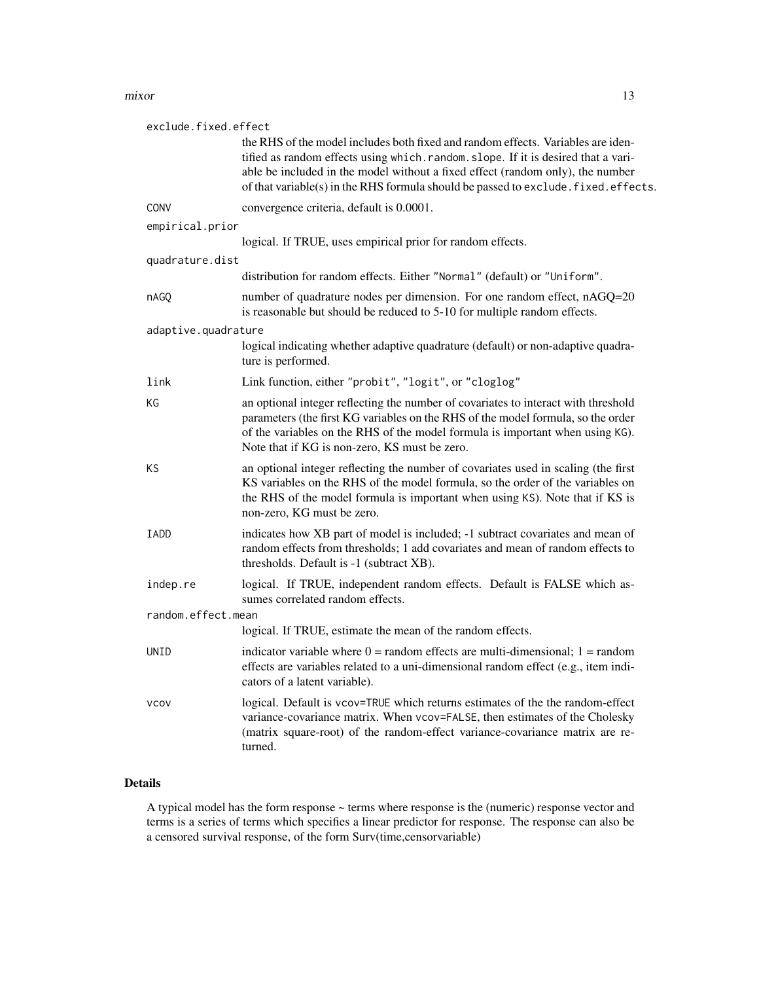#### mixor the contract of the contract of the contract of the contract of the contract of the contract of the contract of the contract of the contract of the contract of the contract of the contract of the contract of the cont

| exclude.fixed.effect |                                                                                                                                                                                                                                                                                                                                                 |
|----------------------|-------------------------------------------------------------------------------------------------------------------------------------------------------------------------------------------------------------------------------------------------------------------------------------------------------------------------------------------------|
|                      | the RHS of the model includes both fixed and random effects. Variables are iden-<br>tified as random effects using which. random. slope. If it is desired that a vari-<br>able be included in the model without a fixed effect (random only), the number<br>of that variable(s) in the RHS formula should be passed to exclude. fixed. effects. |
| CONV                 | convergence criteria, default is 0.0001.                                                                                                                                                                                                                                                                                                        |
| empirical.prior      |                                                                                                                                                                                                                                                                                                                                                 |
|                      | logical. If TRUE, uses empirical prior for random effects.                                                                                                                                                                                                                                                                                      |
| quadrature.dist      |                                                                                                                                                                                                                                                                                                                                                 |
|                      | distribution for random effects. Either "Normal" (default) or "Uniform".                                                                                                                                                                                                                                                                        |
| nAGQ                 | number of quadrature nodes per dimension. For one random effect, nAGQ=20<br>is reasonable but should be reduced to 5-10 for multiple random effects.                                                                                                                                                                                            |
| adaptive.quadrature  |                                                                                                                                                                                                                                                                                                                                                 |
|                      | logical indicating whether adaptive quadrature (default) or non-adaptive quadra-<br>ture is performed.                                                                                                                                                                                                                                          |
| link                 | Link function, either "probit", "logit", or "cloglog"                                                                                                                                                                                                                                                                                           |
| КG                   | an optional integer reflecting the number of covariates to interact with threshold<br>parameters (the first KG variables on the RHS of the model formula, so the order<br>of the variables on the RHS of the model formula is important when using KG).<br>Note that if KG is non-zero, KS must be zero.                                        |
| ΚS                   | an optional integer reflecting the number of covariates used in scaling (the first<br>KS variables on the RHS of the model formula, so the order of the variables on<br>the RHS of the model formula is important when using KS). Note that if KS is<br>non-zero, KG must be zero.                                                              |
| <b>IADD</b>          | indicates how XB part of model is included; -1 subtract covariates and mean of<br>random effects from thresholds; 1 add covariates and mean of random effects to<br>thresholds. Default is -1 (subtract XB).                                                                                                                                    |
| indep.re             | logical. If TRUE, independent random effects. Default is FALSE which as-<br>sumes correlated random effects.                                                                                                                                                                                                                                    |
| random.effect.mean   |                                                                                                                                                                                                                                                                                                                                                 |
|                      | logical. If TRUE, estimate the mean of the random effects.                                                                                                                                                                                                                                                                                      |
| UNID                 | indicator variable where $0 =$ random effects are multi-dimensional; $1 =$ random<br>effects are variables related to a uni-dimensional random effect (e.g., item indi-<br>cators of a latent variable).                                                                                                                                        |
| <b>VCOV</b>          | logical. Default is vcov=TRUE which returns estimates of the the random-effect<br>variance-covariance matrix. When vcov=FALSE, then estimates of the Cholesky<br>(matrix square-root) of the random-effect variance-covariance matrix are re-<br>turned.                                                                                        |

# Details

A typical model has the form response ~ terms where response is the (numeric) response vector and terms is a series of terms which specifies a linear predictor for response. The response can also be a censored survival response, of the form Surv(time,censorvariable)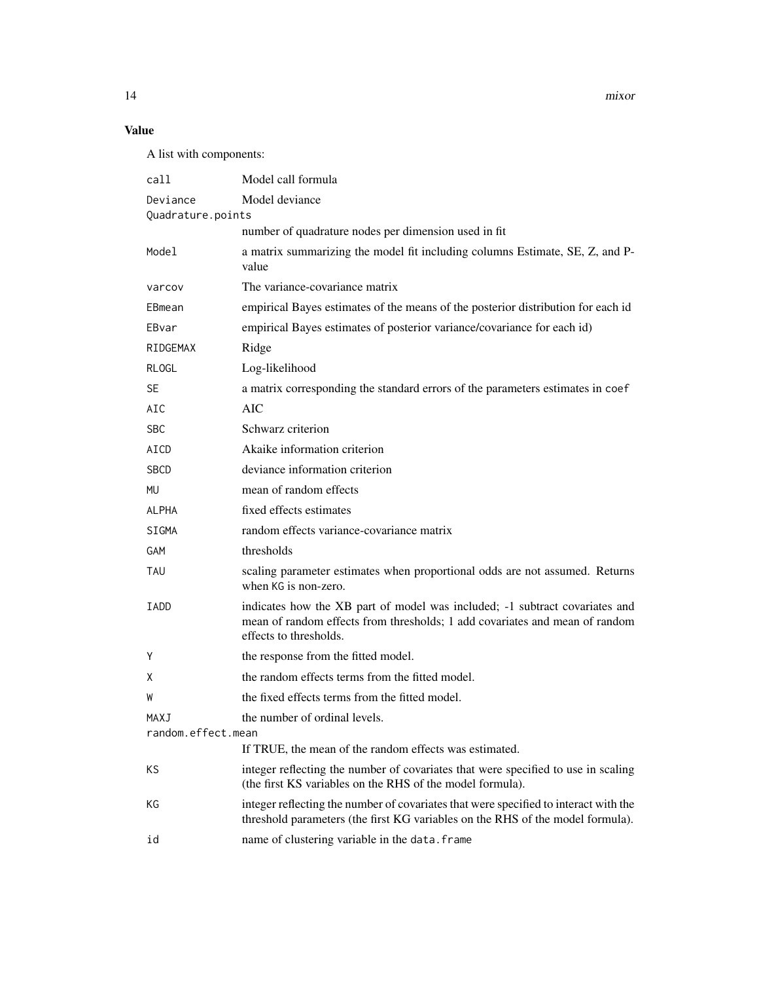14 mixor

# Value

A list with components:

| call                          | Model call formula                                                                                                                                                                   |
|-------------------------------|--------------------------------------------------------------------------------------------------------------------------------------------------------------------------------------|
| Deviance<br>Quadrature.points | Model deviance                                                                                                                                                                       |
|                               | number of quadrature nodes per dimension used in fit                                                                                                                                 |
| Model                         | a matrix summarizing the model fit including columns Estimate, SE, Z, and P-<br>value                                                                                                |
| varcov                        | The variance-covariance matrix                                                                                                                                                       |
| EBmean                        | empirical Bayes estimates of the means of the posterior distribution for each id                                                                                                     |
| EBvar                         | empirical Bayes estimates of posterior variance/covariance for each id)                                                                                                              |
| RIDGEMAX                      | Ridge                                                                                                                                                                                |
| <b>RLOGL</b>                  | Log-likelihood                                                                                                                                                                       |
| SE.                           | a matrix corresponding the standard errors of the parameters estimates in coef                                                                                                       |
| AIC                           | AIC                                                                                                                                                                                  |
| <b>SBC</b>                    | Schwarz criterion                                                                                                                                                                    |
| AICD                          | Akaike information criterion                                                                                                                                                         |
| <b>SBCD</b>                   | deviance information criterion                                                                                                                                                       |
| MU                            | mean of random effects                                                                                                                                                               |
| <b>ALPHA</b>                  | fixed effects estimates                                                                                                                                                              |
| <b>SIGMA</b>                  | random effects variance-covariance matrix                                                                                                                                            |
| <b>GAM</b>                    | thresholds                                                                                                                                                                           |
| TAU                           | scaling parameter estimates when proportional odds are not assumed. Returns<br>when KG is non-zero.                                                                                  |
| IADD                          | indicates how the XB part of model was included; -1 subtract covariates and<br>mean of random effects from thresholds; 1 add covariates and mean of random<br>effects to thresholds. |
| Υ                             | the response from the fitted model.                                                                                                                                                  |
| X                             | the random effects terms from the fitted model.                                                                                                                                      |
| W                             | the fixed effects terms from the fitted model.                                                                                                                                       |
| MAXJ                          | the number of ordinal levels.                                                                                                                                                        |
| random.effect.mean            | If TRUE, the mean of the random effects was estimated.                                                                                                                               |
|                               |                                                                                                                                                                                      |
| KS                            | integer reflecting the number of covariates that were specified to use in scaling<br>(the first KS variables on the RHS of the model formula).                                       |
| КG                            | integer reflecting the number of covariates that were specified to interact with the<br>threshold parameters (the first KG variables on the RHS of the model formula).               |
| id                            | name of clustering variable in the data. frame                                                                                                                                       |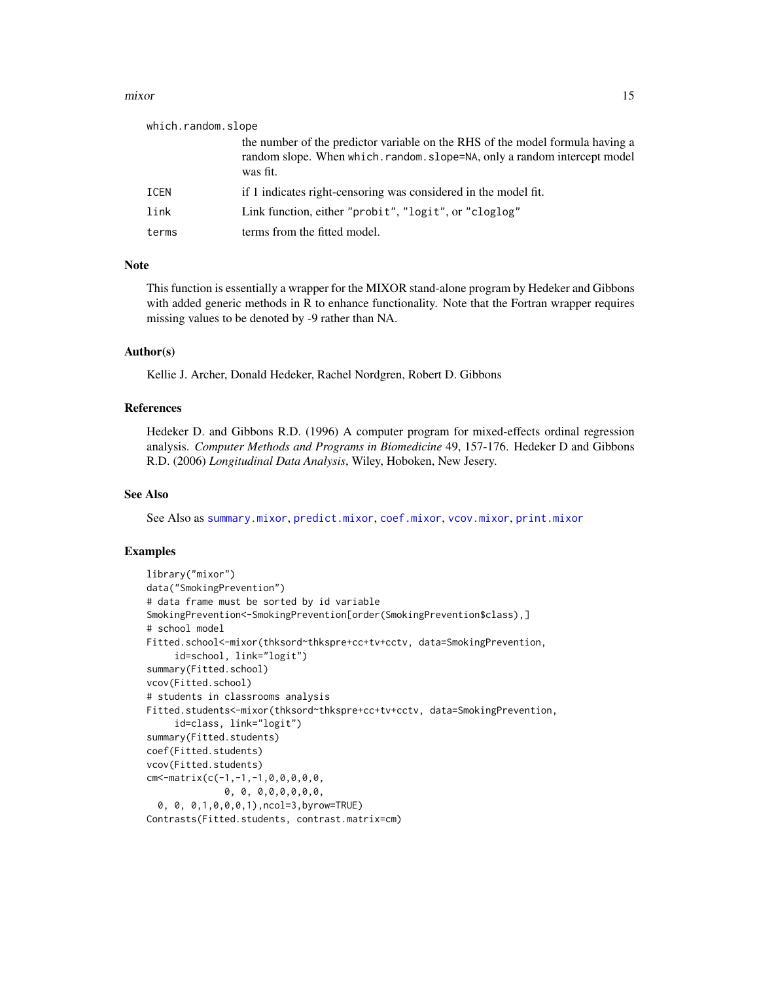#### <span id="page-14-0"></span>mixor the contract of the contract of the contract of the contract of the contract of the contract of the contract of the contract of the contract of the contract of the contract of the contract of the contract of the cont

| which.random.slope |                                                                                                                                                                        |
|--------------------|------------------------------------------------------------------------------------------------------------------------------------------------------------------------|
|                    | the number of the predictor variable on the RHS of the model formula having a<br>random slope. When which, random, slope=NA, only a random intercept model<br>was fit. |
| ICEN               | if 1 indicates right-censoring was considered in the model fit.                                                                                                        |
| link               | Link function, either "probit", "logit", or "cloglog"                                                                                                                  |
| terms              | terms from the fitted model.                                                                                                                                           |
|                    |                                                                                                                                                                        |

#### Note

This function is essentially a wrapper for the MIXOR stand-alone program by Hedeker and Gibbons with added generic methods in R to enhance functionality. Note that the Fortran wrapper requires missing values to be denoted by -9 rather than NA.

#### Author(s)

Kellie J. Archer, Donald Hedeker, Rachel Nordgren, Robert D. Gibbons

#### References

Hedeker D. and Gibbons R.D. (1996) A computer program for mixed-effects ordinal regression analysis. *Computer Methods and Programs in Biomedicine* 49, 157-176. Hedeker D and Gibbons R.D. (2006) *Longitudinal Data Analysis*, Wiley, Hoboken, New Jesery.

#### See Also

See Also as [summary.mixor](#page-24-1), [predict.mixor](#page-18-1), [coef.mixor](#page-5-1), [vcov.mixor](#page-25-1), [print.mixor](#page-19-1)

```
library("mixor")
data("SmokingPrevention")
# data frame must be sorted by id variable
SmokingPrevention<-SmokingPrevention[order(SmokingPrevention$class),]
# school model
Fitted.school<-mixor(thksord~thkspre+cc+tv+cctv, data=SmokingPrevention,
     id=school, link="logit")
summary(Fitted.school)
vcov(Fitted.school)
# students in classrooms analysis
Fitted.students<-mixor(thksord~thkspre+cc+tv+cctv, data=SmokingPrevention,
     id=class, link="logit")
summary(Fitted.students)
coef(Fitted.students)
vcov(Fitted.students)
cm <- matrix(c(-1,-1,-1,0,0,0,0,0,
              0, 0, 0,0,0,0,0,0,
 0, 0, 0,1,0,0,0,1),ncol=3,byrow=TRUE)
Contrasts(Fitted.students, contrast.matrix=cm)
```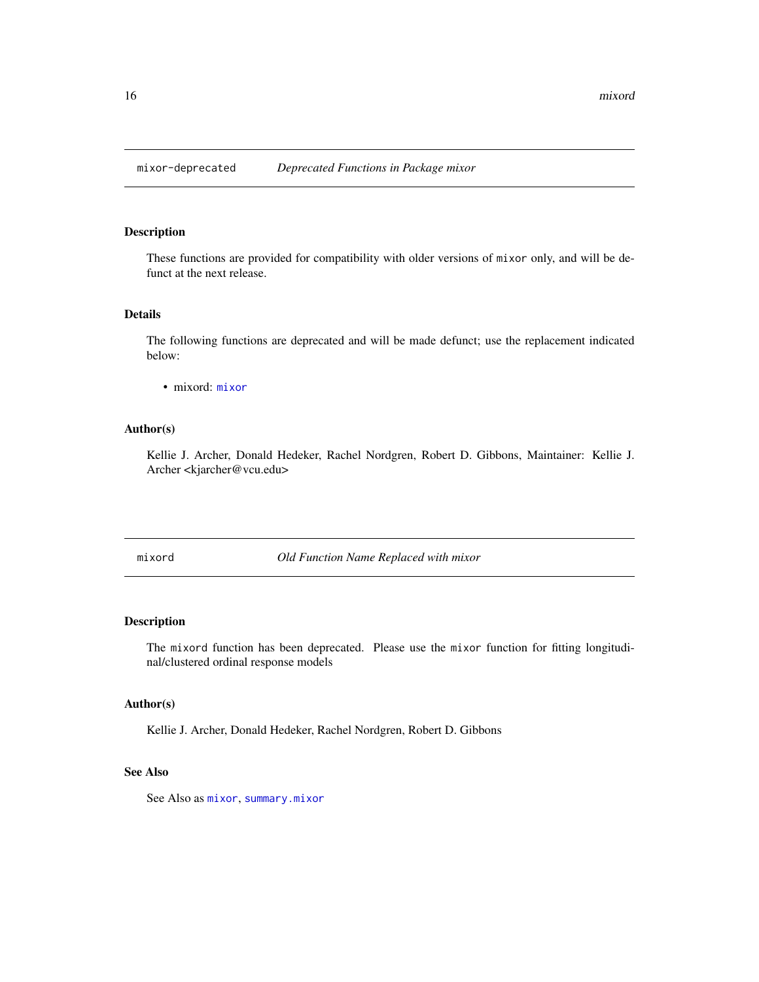<span id="page-15-0"></span>

These functions are provided for compatibility with older versions of mixor only, and will be defunct at the next release.

# Details

The following functions are deprecated and will be made defunct; use the replacement indicated below:

• mixord: [mixor](#page-11-1)

# Author(s)

Kellie J. Archer, Donald Hedeker, Rachel Nordgren, Robert D. Gibbons, Maintainer: Kellie J. Archer <kjarcher@vcu.edu>

mixord *Old Function Name Replaced with mixor*

# Description

The mixord function has been deprecated. Please use the mixor function for fitting longitudinal/clustered ordinal response models

#### Author(s)

Kellie J. Archer, Donald Hedeker, Rachel Nordgren, Robert D. Gibbons

#### See Also

See Also as [mixor](#page-11-1), [summary.mixor](#page-24-1)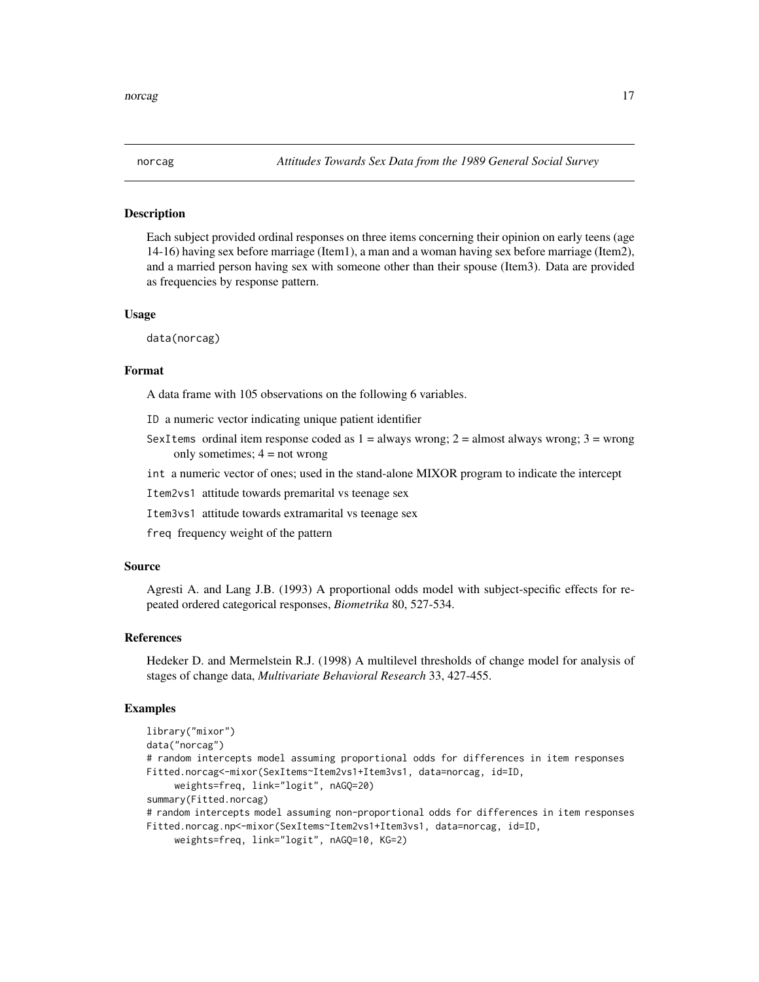<span id="page-16-1"></span><span id="page-16-0"></span>

Each subject provided ordinal responses on three items concerning their opinion on early teens (age 14-16) having sex before marriage (Item1), a man and a woman having sex before marriage (Item2), and a married person having sex with someone other than their spouse (Item3). Data are provided as frequencies by response pattern.

#### Usage

data(norcag)

#### Format

A data frame with 105 observations on the following 6 variables.

ID a numeric vector indicating unique patient identifier

- SexItems ordinal item response coded as  $1 =$  always wrong;  $2 =$  almost always wrong;  $3 =$  wrong only sometimes;  $4 = not wrong$
- int a numeric vector of ones; used in the stand-alone MIXOR program to indicate the intercept

Item2vs1 attitude towards premarital vs teenage sex

Item3vs1 attitude towards extramarital vs teenage sex

freq frequency weight of the pattern

#### Source

Agresti A. and Lang J.B. (1993) A proportional odds model with subject-specific effects for repeated ordered categorical responses, *Biometrika* 80, 527-534.

#### References

Hedeker D. and Mermelstein R.J. (1998) A multilevel thresholds of change model for analysis of stages of change data, *Multivariate Behavioral Research* 33, 427-455.

```
library("mixor")
data("norcag")
# random intercepts model assuming proportional odds for differences in item responses
Fitted.norcag<-mixor(SexItems~Item2vs1+Item3vs1, data=norcag, id=ID,
     weights=freq, link="logit", nAGQ=20)
summary(Fitted.norcag)
# random intercepts model assuming non-proportional odds for differences in item responses
Fitted.norcag.np<-mixor(SexItems~Item2vs1+Item3vs1, data=norcag, id=ID,
```

```
weights=freq, link="logit", nAGQ=10, KG=2)
```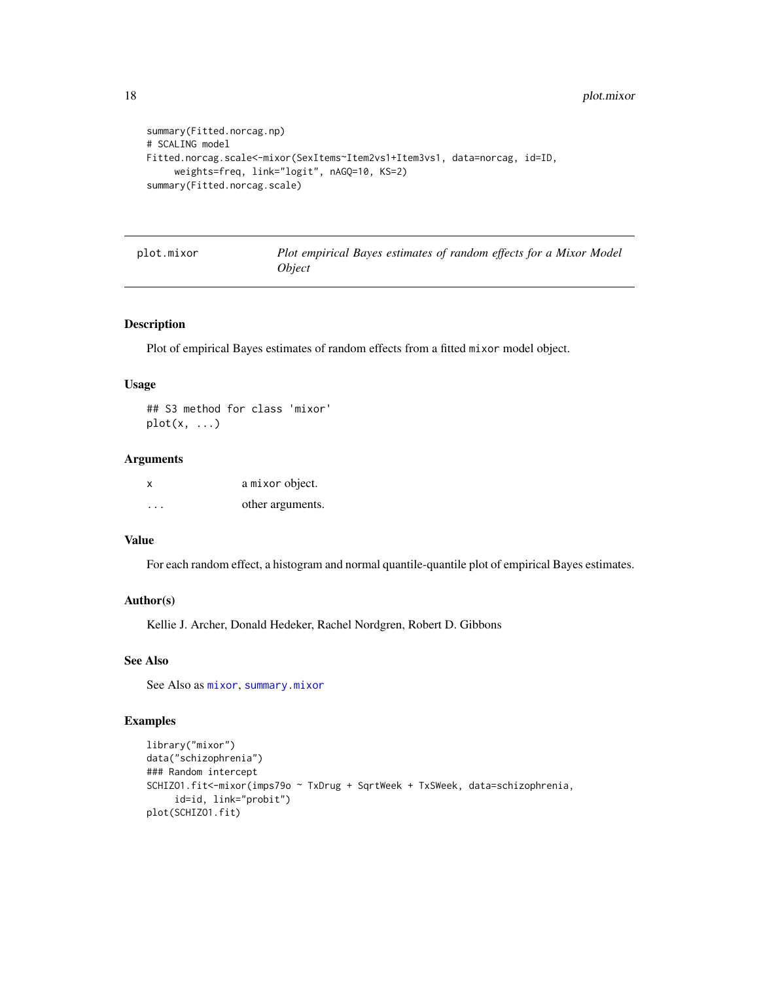```
summary(Fitted.norcag.np)
# SCALING model
Fitted.norcag.scale<-mixor(SexItems~Item2vs1+Item3vs1, data=norcag, id=ID,
     weights=freq, link="logit", nAGQ=10, KS=2)
summary(Fitted.norcag.scale)
```
plot.mixor *Plot empirical Bayes estimates of random effects for a Mixor Model Object*

#### Description

Plot of empirical Bayes estimates of random effects from a fitted mixor model object.

#### Usage

## S3 method for class 'mixor'  $plot(x, \ldots)$ 

# Arguments

| $\boldsymbol{\mathsf{x}}$ | a mixor object.  |
|---------------------------|------------------|
| $\cdot$                   | other arguments. |

## Value

For each random effect, a histogram and normal quantile-quantile plot of empirical Bayes estimates.

# Author(s)

Kellie J. Archer, Donald Hedeker, Rachel Nordgren, Robert D. Gibbons

# See Also

See Also as [mixor](#page-11-1), [summary.mixor](#page-24-1)

```
library("mixor")
data("schizophrenia")
### Random intercept
SCHIZO1.fit<-mixor(imps79o ~ TxDrug + SqrtWeek + TxSWeek, data=schizophrenia,
     id=id, link="probit")
plot(SCHIZO1.fit)
```
<span id="page-17-0"></span>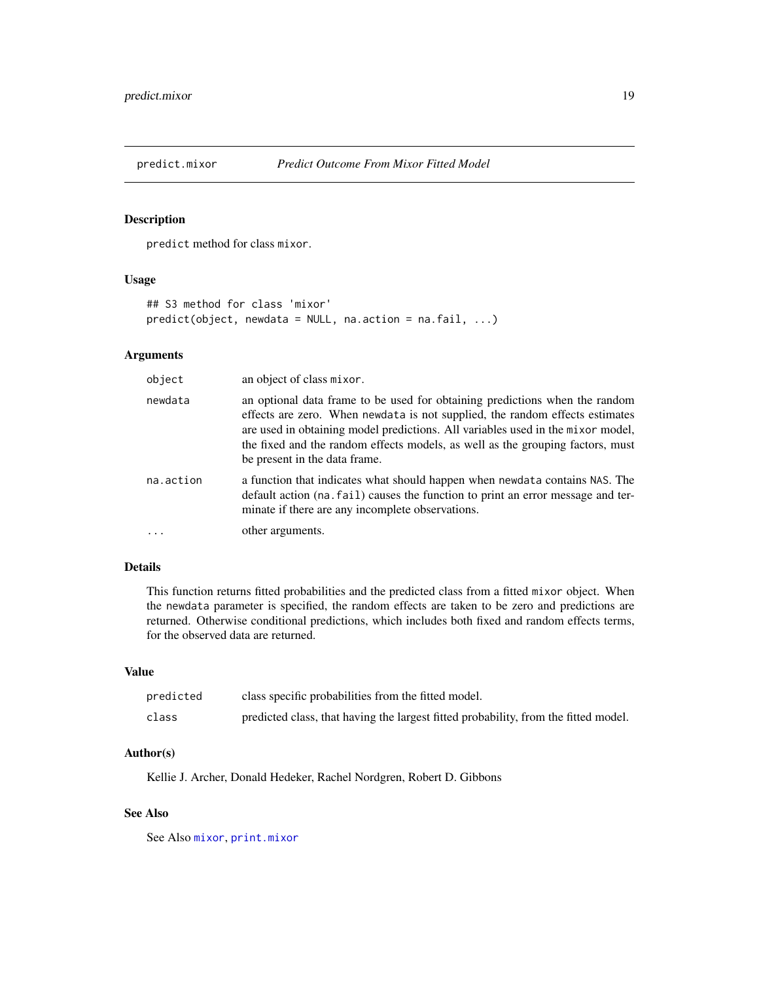<span id="page-18-1"></span><span id="page-18-0"></span>

predict method for class mixor.

# Usage

```
## S3 method for class 'mixor'
predict(object, newdata = NULL, na.action = na.fail, ...)
```
# Arguments

| object    | an object of class mixor.                                                                                                                                                                                                                                                                                                                                         |
|-----------|-------------------------------------------------------------------------------------------------------------------------------------------------------------------------------------------------------------------------------------------------------------------------------------------------------------------------------------------------------------------|
| newdata   | an optional data frame to be used for obtaining predictions when the random<br>effects are zero. When newdata is not supplied, the random effects estimates<br>are used in obtaining model predictions. All variables used in the mixor model,<br>the fixed and the random effects models, as well as the grouping factors, must<br>be present in the data frame. |
| na.action | a function that indicates what should happen when newdata contains NAS. The<br>default action (na. fail) causes the function to print an error message and ter-<br>minate if there are any incomplete observations.                                                                                                                                               |
|           | other arguments.                                                                                                                                                                                                                                                                                                                                                  |

# Details

This function returns fitted probabilities and the predicted class from a fitted mixor object. When the newdata parameter is specified, the random effects are taken to be zero and predictions are returned. Otherwise conditional predictions, which includes both fixed and random effects terms, for the observed data are returned.

# Value

| predicted | class specific probabilities from the fitted model.                                 |
|-----------|-------------------------------------------------------------------------------------|
| class     | predicted class, that having the largest fitted probability, from the fitted model. |

#### Author(s)

Kellie J. Archer, Donald Hedeker, Rachel Nordgren, Robert D. Gibbons

# See Also

See Also [mixor](#page-11-1), [print.mixor](#page-19-1)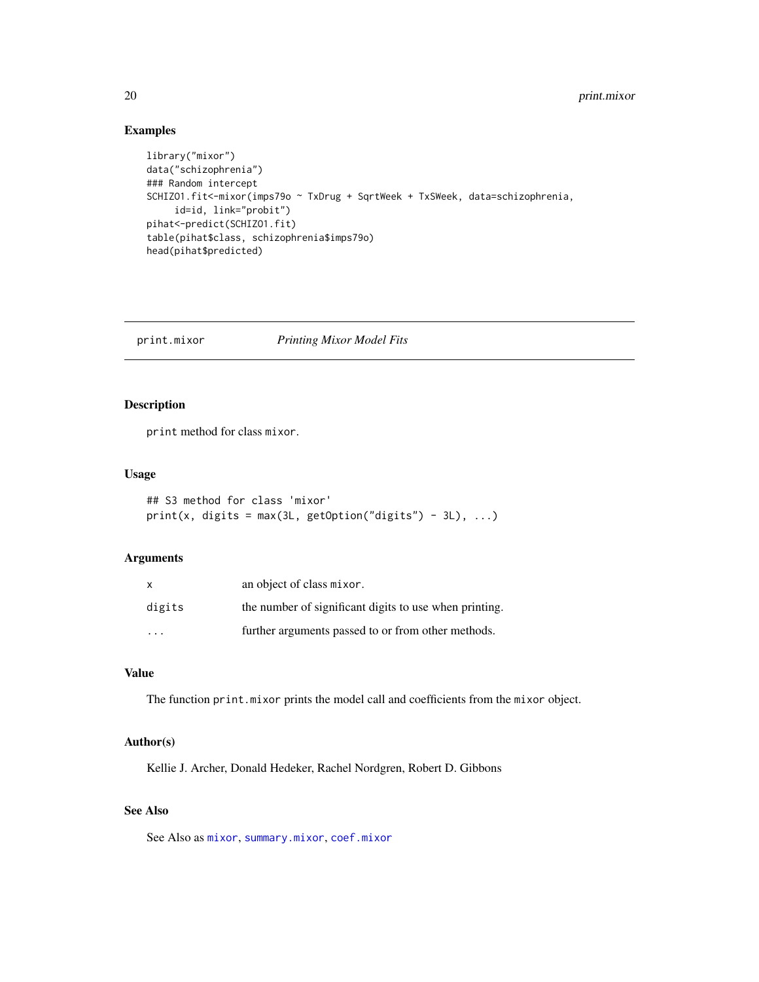# Examples

```
library("mixor")
data("schizophrenia")
### Random intercept
SCHIZO1.fit<-mixor(imps79o ~ TxDrug + SqrtWeek + TxSWeek, data=schizophrenia,
     id=id, link="probit")
pihat<-predict(SCHIZO1.fit)
table(pihat$class, schizophrenia$imps79o)
head(pihat$predicted)
```
<span id="page-19-1"></span>print.mixor *Printing Mixor Model Fits*

# Description

print method for class mixor.

#### Usage

```
## S3 method for class 'mixor'
print(x, \text{ digits} = max(3L, \text{ getOption("digits") - 3L), ...)
```
# Arguments

| X      | an object of class mixor.                              |
|--------|--------------------------------------------------------|
| digits | the number of significant digits to use when printing. |
| .      | further arguments passed to or from other methods.     |

#### Value

The function print.mixor prints the model call and coefficients from the mixor object.

# Author(s)

Kellie J. Archer, Donald Hedeker, Rachel Nordgren, Robert D. Gibbons

# See Also

See Also as [mixor](#page-11-1), [summary.mixor](#page-24-1), [coef.mixor](#page-5-1)

<span id="page-19-0"></span>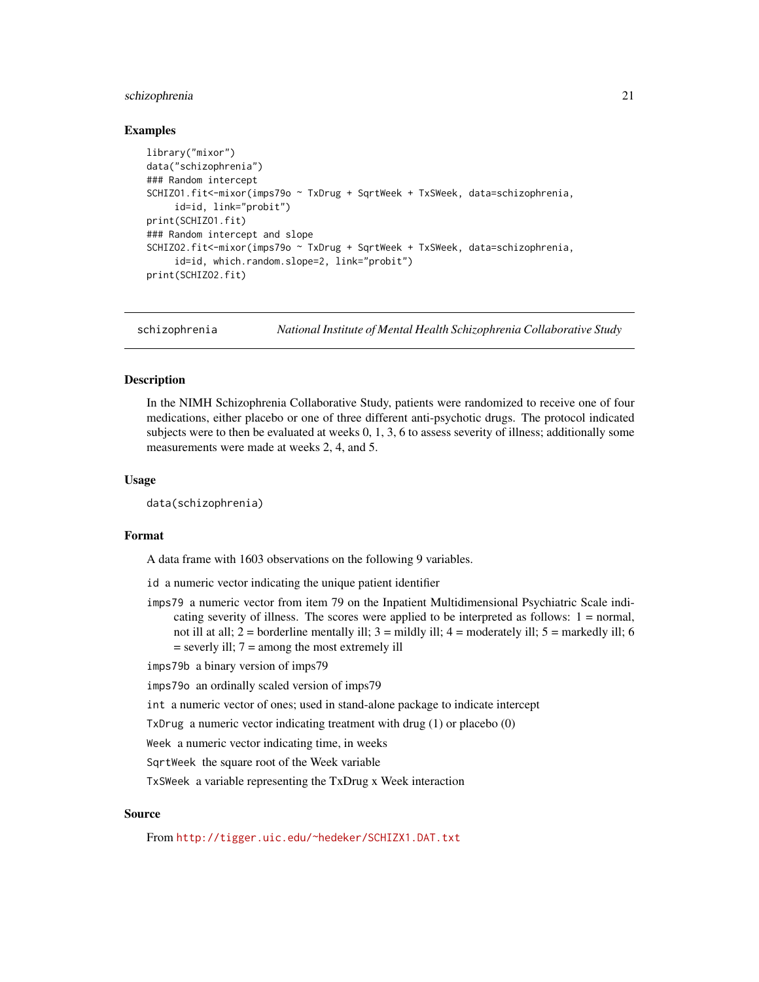#### <span id="page-20-0"></span>schizophrenia 21

#### Examples

```
library("mixor")
data("schizophrenia")
### Random intercept
SCHIZO1.fit<-mixor(imps79o ~ TxDrug + SqrtWeek + TxSWeek, data=schizophrenia,
     id=id, link="probit")
print(SCHIZO1.fit)
### Random intercept and slope
SCHIZO2.fit<-mixor(imps79o ~ TxDrug + SqrtWeek + TxSWeek, data=schizophrenia,
     id=id, which.random.slope=2, link="probit")
print(SCHIZO2.fit)
```
<span id="page-20-1"></span>schizophrenia *National Institute of Mental Health Schizophrenia Collaborative Study*

#### Description

In the NIMH Schizophrenia Collaborative Study, patients were randomized to receive one of four medications, either placebo or one of three different anti-psychotic drugs. The protocol indicated subjects were to then be evaluated at weeks 0, 1, 3, 6 to assess severity of illness; additionally some measurements were made at weeks 2, 4, and 5.

#### Usage

data(schizophrenia)

#### Format

A data frame with 1603 observations on the following 9 variables.

id a numeric vector indicating the unique patient identifier

imps79 a numeric vector from item 79 on the Inpatient Multidimensional Psychiatric Scale indicating severity of illness. The scores were applied to be interpreted as follows: 1 = normal, not ill at all;  $2 =$  borderline mentally ill;  $3 =$  mildly ill;  $4 =$  moderately ill;  $5 =$  markedly ill; 6  $=$  severly ill;  $7 =$  among the most extremely ill

imps79b a binary version of imps79

imps79o an ordinally scaled version of imps79

int a numeric vector of ones; used in stand-alone package to indicate intercept

TxDrug a numeric vector indicating treatment with drug (1) or placebo (0)

Week a numeric vector indicating time, in weeks

SqrtWeek the square root of the Week variable

TxSWeek a variable representing the TxDrug x Week interaction

#### Source

From <http://tigger.uic.edu/~hedeker/SCHIZX1.DAT.txt>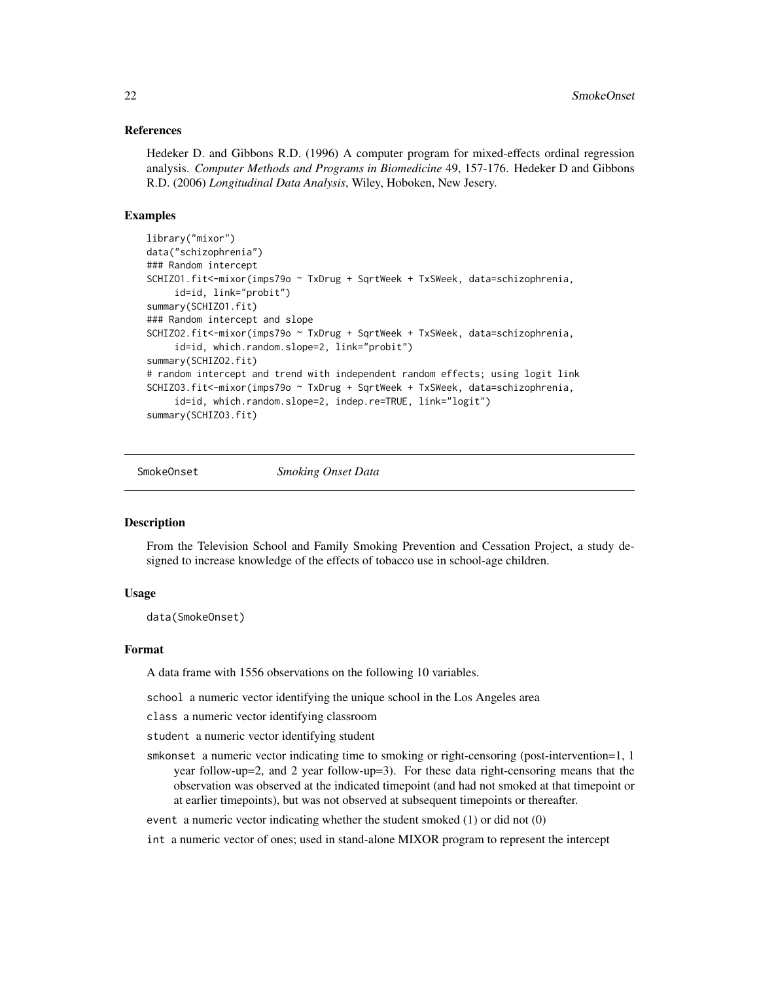#### <span id="page-21-0"></span>References

Hedeker D. and Gibbons R.D. (1996) A computer program for mixed-effects ordinal regression analysis. *Computer Methods and Programs in Biomedicine* 49, 157-176. Hedeker D and Gibbons R.D. (2006) *Longitudinal Data Analysis*, Wiley, Hoboken, New Jesery.

#### Examples

```
library("mixor")
data("schizophrenia")
### Random intercept
SCHIZO1.fit<-mixor(imps79o ~ TxDrug + SqrtWeek + TxSWeek, data=schizophrenia,
     id=id, link="probit")
summary(SCHIZO1.fit)
### Random intercept and slope
SCHIZO2.fit<-mixor(imps79o ~ TxDrug + SqrtWeek + TxSWeek, data=schizophrenia,
     id=id, which.random.slope=2, link="probit")
summary(SCHIZO2.fit)
# random intercept and trend with independent random effects; using logit link
SCHIZO3.fit<-mixor(imps79o ~ TxDrug + SqrtWeek + TxSWeek, data=schizophrenia,
     id=id, which.random.slope=2, indep.re=TRUE, link="logit")
summary(SCHIZO3.fit)
```
<span id="page-21-1"></span>

SmokeOnset *Smoking Onset Data*

#### Description

From the Television School and Family Smoking Prevention and Cessation Project, a study designed to increase knowledge of the effects of tobacco use in school-age children.

#### Usage

data(SmokeOnset)

#### Format

A data frame with 1556 observations on the following 10 variables.

school a numeric vector identifying the unique school in the Los Angeles area

class a numeric vector identifying classroom

student a numeric vector identifying student

smkonset a numeric vector indicating time to smoking or right-censoring (post-intervention=1, 1 year follow-up=2, and 2 year follow-up=3). For these data right-censoring means that the observation was observed at the indicated timepoint (and had not smoked at that timepoint or at earlier timepoints), but was not observed at subsequent timepoints or thereafter.

event a numeric vector indicating whether the student smoked (1) or did not (0)

int a numeric vector of ones; used in stand-alone MIXOR program to represent the intercept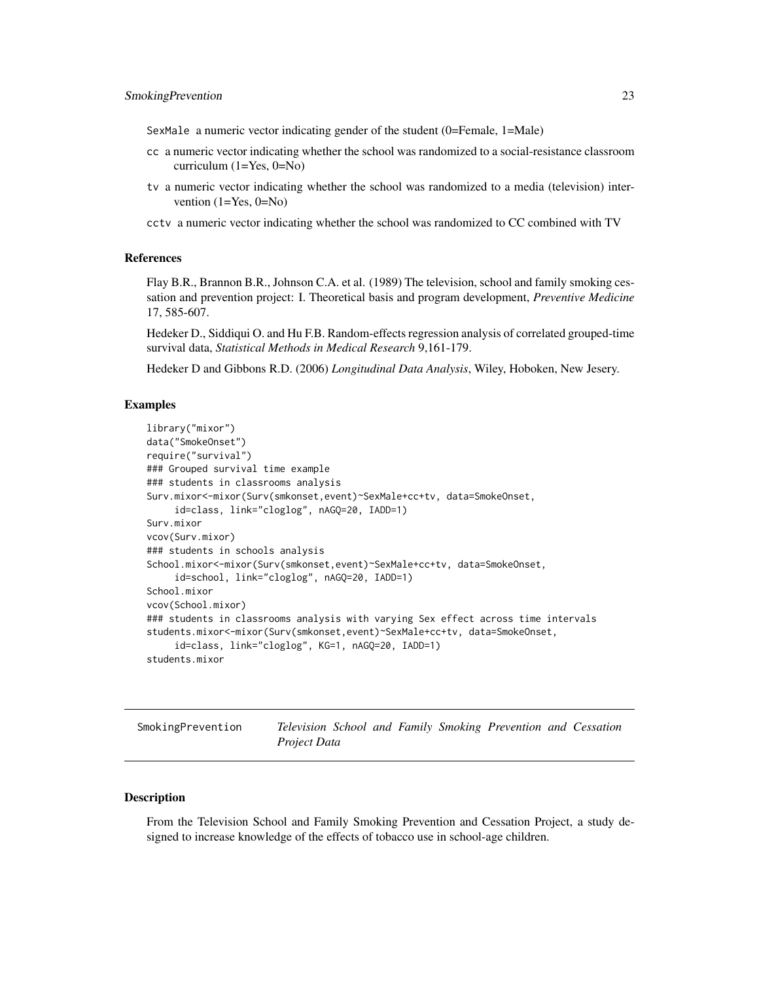<span id="page-22-0"></span>SexMale a numeric vector indicating gender of the student (0=Female, 1=Male)

- cc a numeric vector indicating whether the school was randomized to a social-resistance classroom curriculum (1=Yes, 0=No)
- tv a numeric vector indicating whether the school was randomized to a media (television) intervention  $(1=Yes, 0=No)$
- cctv a numeric vector indicating whether the school was randomized to CC combined with TV

#### References

Flay B.R., Brannon B.R., Johnson C.A. et al. (1989) The television, school and family smoking cessation and prevention project: I. Theoretical basis and program development, *Preventive Medicine* 17, 585-607.

Hedeker D., Siddiqui O. and Hu F.B. Random-effects regression analysis of correlated grouped-time survival data, *Statistical Methods in Medical Research* 9,161-179.

Hedeker D and Gibbons R.D. (2006) *Longitudinal Data Analysis*, Wiley, Hoboken, New Jesery.

#### Examples

```
library("mixor")
data("SmokeOnset")
require("survival")
### Grouped survival time example
### students in classrooms analysis
Surv.mixor<-mixor(Surv(smkonset,event)~SexMale+cc+tv, data=SmokeOnset,
     id=class, link="cloglog", nAGQ=20, IADD=1)
Surv.mixor
vcov(Surv.mixor)
### students in schools analysis
School.mixor<-mixor(Surv(smkonset,event)~SexMale+cc+tv, data=SmokeOnset,
     id=school, link="cloglog", nAGQ=20, IADD=1)
School.mixor
vcov(School.mixor)
### students in classrooms analysis with varying Sex effect across time intervals
students.mixor<-mixor(Surv(smkonset,event)~SexMale+cc+tv, data=SmokeOnset,
     id=class, link="cloglog", KG=1, nAGQ=20, IADD=1)
students.mixor
```
SmokingPrevention *Television School and Family Smoking Prevention and Cessation Project Data*

#### Description

From the Television School and Family Smoking Prevention and Cessation Project, a study designed to increase knowledge of the effects of tobacco use in school-age children.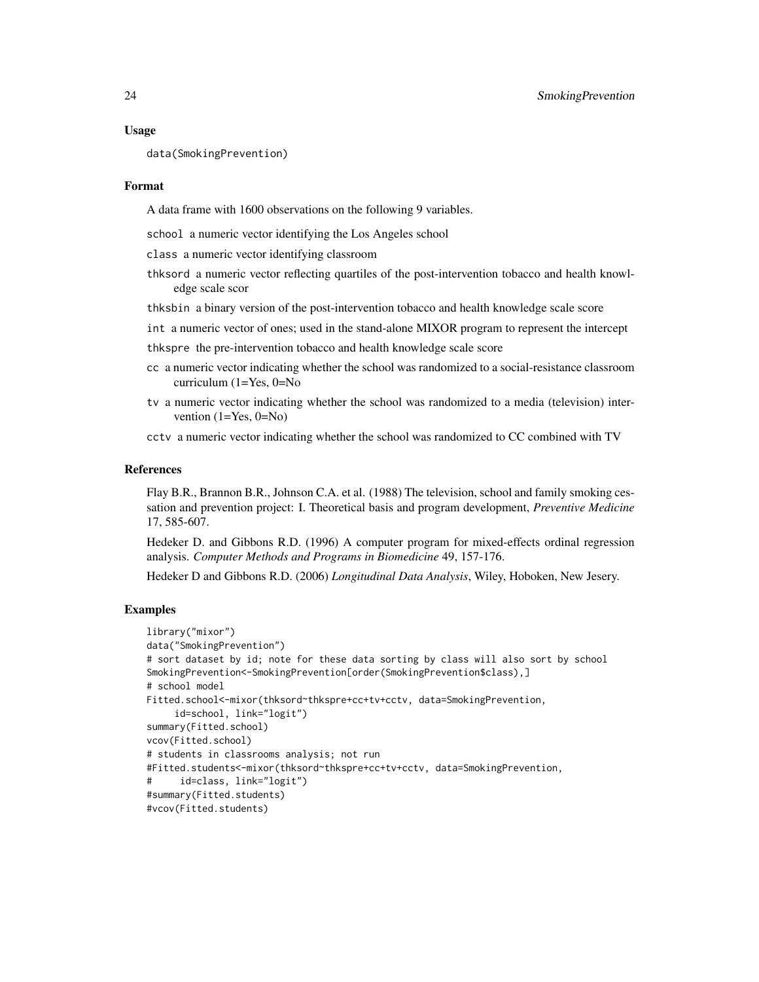```
data(SmokingPrevention)
```
#### Format

A data frame with 1600 observations on the following 9 variables.

school a numeric vector identifying the Los Angeles school

class a numeric vector identifying classroom

- thksord a numeric vector reflecting quartiles of the post-intervention tobacco and health knowledge scale scor
- thksbin a binary version of the post-intervention tobacco and health knowledge scale score
- int a numeric vector of ones; used in the stand-alone MIXOR program to represent the intercept

thkspre the pre-intervention tobacco and health knowledge scale score

- cc a numeric vector indicating whether the school was randomized to a social-resistance classroom curriculum (1=Yes, 0=No
- tv a numeric vector indicating whether the school was randomized to a media (television) intervention  $(1=Yes, 0=No)$
- cctv a numeric vector indicating whether the school was randomized to CC combined with TV

# References

Flay B.R., Brannon B.R., Johnson C.A. et al. (1988) The television, school and family smoking cessation and prevention project: I. Theoretical basis and program development, *Preventive Medicine* 17, 585-607.

Hedeker D. and Gibbons R.D. (1996) A computer program for mixed-effects ordinal regression analysis. *Computer Methods and Programs in Biomedicine* 49, 157-176.

Hedeker D and Gibbons R.D. (2006) *Longitudinal Data Analysis*, Wiley, Hoboken, New Jesery.

```
library("mixor")
data("SmokingPrevention")
# sort dataset by id; note for these data sorting by class will also sort by school
SmokingPrevention<-SmokingPrevention[order(SmokingPrevention$class),]
# school model
Fitted.school<-mixor(thksord~thkspre+cc+tv+cctv, data=SmokingPrevention,
     id=school, link="logit")
summary(Fitted.school)
vcov(Fitted.school)
# students in classrooms analysis; not run
#Fitted.students<-mixor(thksord~thkspre+cc+tv+cctv, data=SmokingPrevention,
# id=class, link="logit")
#summary(Fitted.students)
#vcov(Fitted.students)
```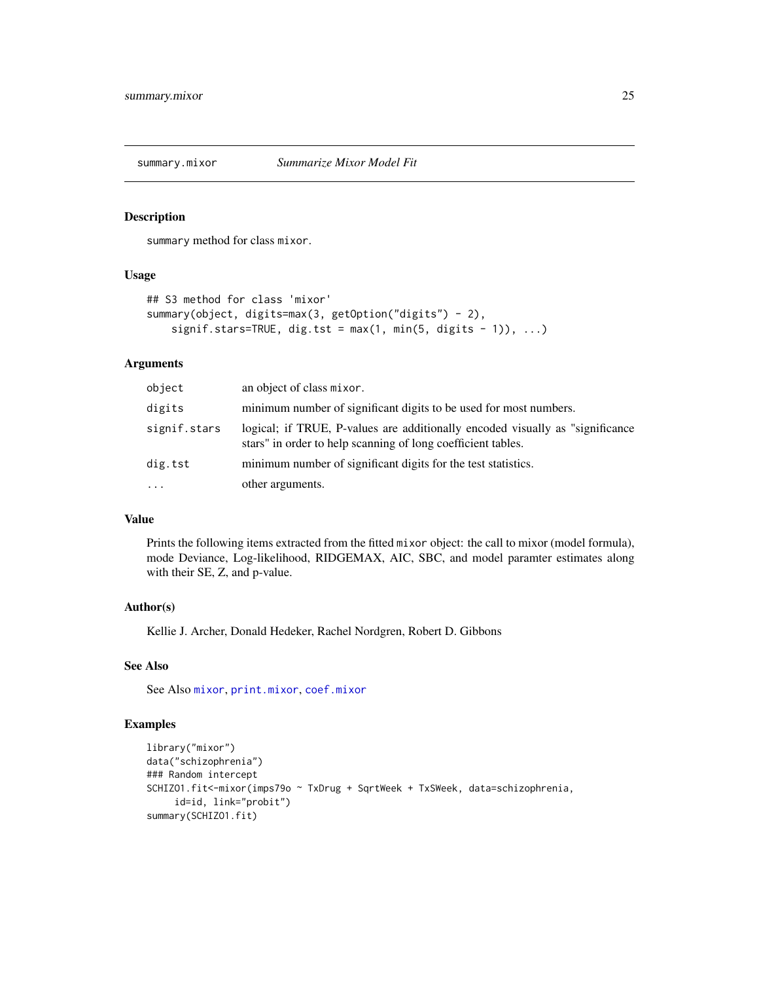<span id="page-24-1"></span><span id="page-24-0"></span>

summary method for class mixor.

#### Usage

```
## S3 method for class 'mixor'
summary(object, digits=max(3, getOption("digits") - 2),
   signif.stars=TRUE, dig.tst = max(1, min(5, digits - 1)), ...
```
#### Arguments

| object       | an object of class mixor.                                                                                                                      |
|--------------|------------------------------------------------------------------------------------------------------------------------------------------------|
| digits       | minimum number of significant digits to be used for most numbers.                                                                              |
| signif.stars | logical; if TRUE, P-values are additionally encoded visually as "significance"<br>stars" in order to help scanning of long coefficient tables. |
| dig.tst      | minimum number of significant digits for the test statistics.                                                                                  |
| $\ddotsc$    | other arguments.                                                                                                                               |

# Value

Prints the following items extracted from the fitted mixor object: the call to mixor (model formula), mode Deviance, Log-likelihood, RIDGEMAX, AIC, SBC, and model paramter estimates along with their SE, Z, and p-value.

# Author(s)

Kellie J. Archer, Donald Hedeker, Rachel Nordgren, Robert D. Gibbons

# See Also

See Also [mixor](#page-11-1), [print.mixor](#page-19-1), [coef.mixor](#page-5-1)

```
library("mixor")
data("schizophrenia")
### Random intercept
SCHIZO1.fit<-mixor(imps79o ~ TxDrug + SqrtWeek + TxSWeek, data=schizophrenia,
     id=id, link="probit")
summary(SCHIZO1.fit)
```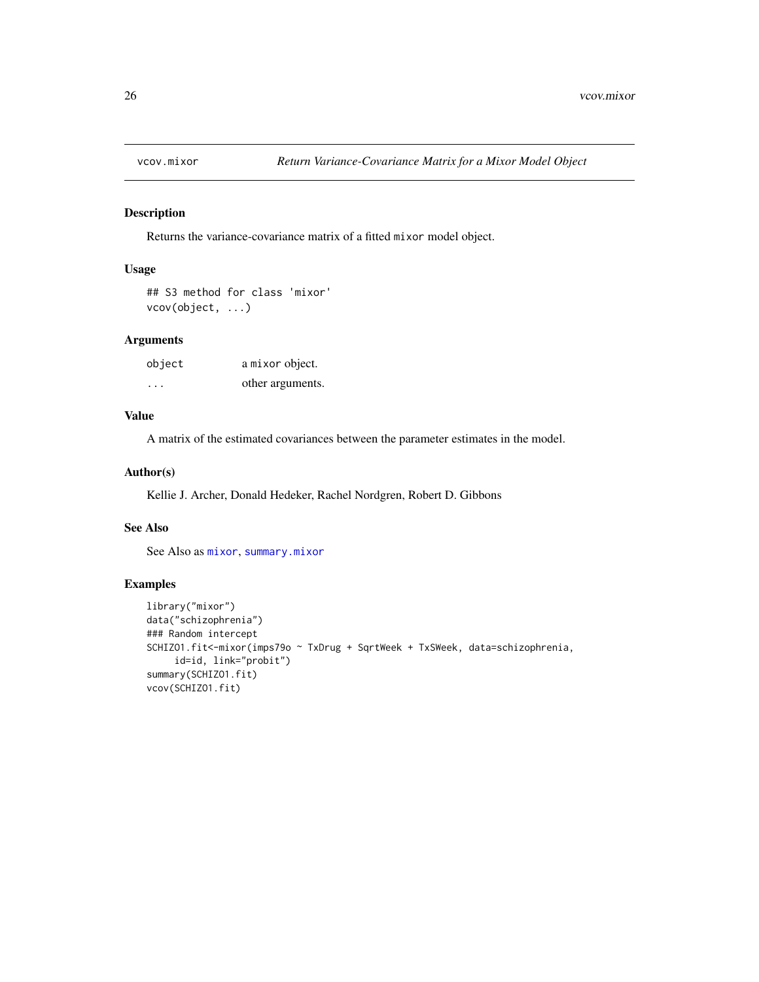<span id="page-25-1"></span><span id="page-25-0"></span>

Returns the variance-covariance matrix of a fitted mixor model object.

# Usage

```
## S3 method for class 'mixor'
vcov(object, ...)
```
# Arguments

| object | a mixor object.  |
|--------|------------------|
| .      | other arguments. |

# Value

A matrix of the estimated covariances between the parameter estimates in the model.

# Author(s)

Kellie J. Archer, Donald Hedeker, Rachel Nordgren, Robert D. Gibbons

# See Also

See Also as [mixor](#page-11-1), [summary.mixor](#page-24-1)

```
library("mixor")
data("schizophrenia")
### Random intercept
SCHIZO1.fit<-mixor(imps79o ~ TxDrug + SqrtWeek + TxSWeek, data=schizophrenia,
     id=id, link="probit")
summary(SCHIZO1.fit)
vcov(SCHIZO1.fit)
```